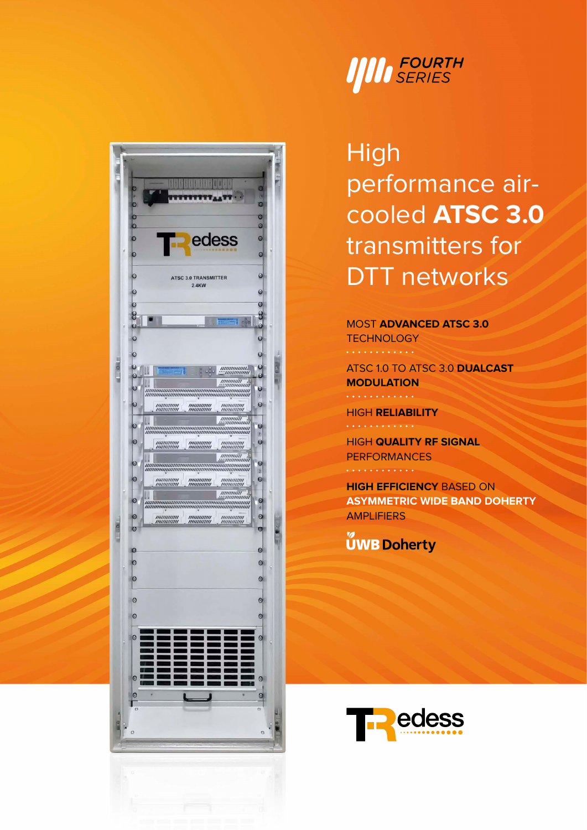



**High** performance aircooled **ATSC 3.0** transmitters for DTT networks

## MOST **ADVANCED ATSC 3.0**

**TECHNOLOGY**  $\cdots \cdots \cdots$ 

ATSC 1.0 TO ATSC 3.0 **DUALCAST MODULATION** . **. . . . . . . .** 

HIGH **RELIABILITY**

HIGH **QUALITY RF SIGNAL PERFORMANCES** . . . . . . . . . .

**HIGH EFFICIENCY** BASED ON **ASYMMETRIC WIDE BAND DOHERTY AMPLIFIERS** 

**ÚWB Doherty**